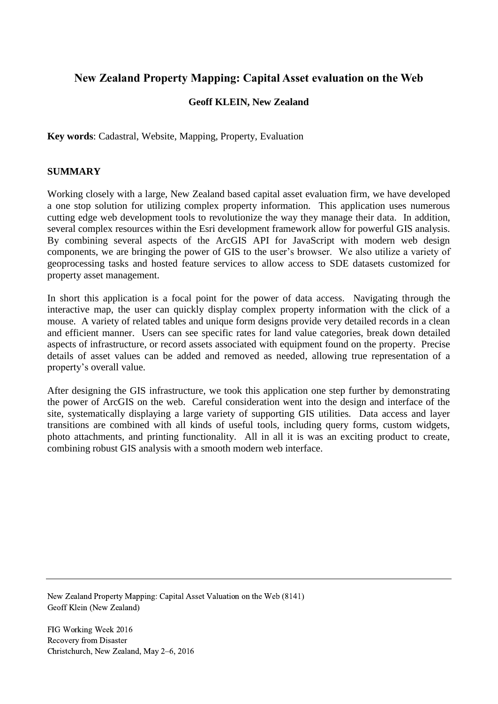# **New Zealand Property Mapping: Capital Asset evaluation on the Web**

## **Geoff KLEIN, New Zealand**

**Key words**: Cadastral, Website, Mapping, Property, Evaluation

## **SUMMARY**

Working closely with a large, New Zealand based capital asset evaluation firm, we have developed a one stop solution for utilizing complex property information. This application uses numerous cutting edge web development tools to revolutionize the way they manage their data. In addition, several complex resources within the Esri development framework allow for powerful GIS analysis. By combining several aspects of the ArcGIS API for JavaScript with modern web design components, we are bringing the power of GIS to the user's browser. We also utilize a variety of geoprocessing tasks and hosted feature services to allow access to SDE datasets customized for property asset management.

In short this application is a focal point for the power of data access. Navigating through the interactive map, the user can quickly display complex property information with the click of a mouse. A variety of related tables and unique form designs provide very detailed records in a clean and efficient manner. Users can see specific rates for land value categories, break down detailed aspects of infrastructure, or record assets associated with equipment found on the property. Precise details of asset values can be added and removed as needed, allowing true representation of a property's overall value.

After designing the GIS infrastructure, we took this application one step further by demonstrating the power of ArcGIS on the web. Careful consideration went into the design and interface of the site, systematically displaying a large variety of supporting GIS utilities. Data access and layer transitions are combined with all kinds of useful tools, including query forms, custom widgets, photo attachments, and printing functionality. All in all it is was an exciting product to create, combining robust GIS analysis with a smooth modern web interface.

New Zealand Property Mapping: Capital Asset Valuation on the Web (8141) Geoff Klein (New Zealand)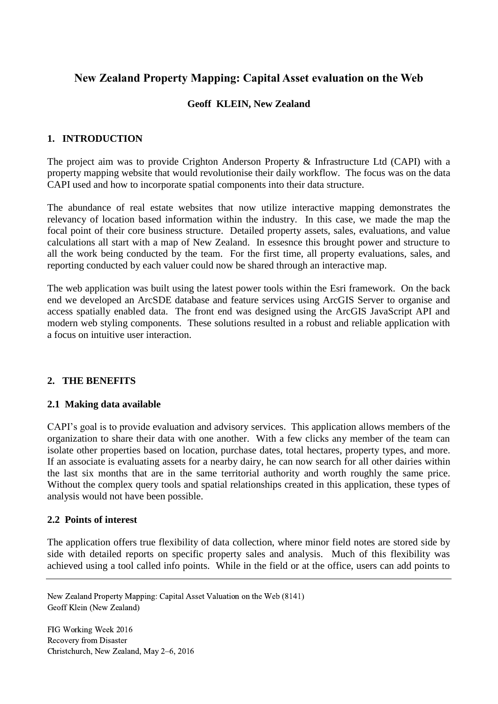# **New Zealand Property Mapping: Capital Asset evaluation on the Web**

## **Geoff KLEIN, New Zealand**

## **1. INTRODUCTION**

The project aim was to provide Crighton Anderson Property & Infrastructure Ltd (CAPI) with a property mapping website that would revolutionise their daily workflow. The focus was on the data CAPI used and how to incorporate spatial components into their data structure.

The abundance of real estate websites that now utilize interactive mapping demonstrates the relevancy of location based information within the industry. In this case, we made the map the focal point of their core business structure. Detailed property assets, sales, evaluations, and value calculations all start with a map of New Zealand. In essesnce this brought power and structure to all the work being conducted by the team. For the first time, all property evaluations, sales, and reporting conducted by each valuer could now be shared through an interactive map.

The web application was built using the latest power tools within the Esri framework. On the back end we developed an ArcSDE database and feature services using ArcGIS Server to organise and access spatially enabled data. The front end was designed using the ArcGIS JavaScript API and modern web styling components. These solutions resulted in a robust and reliable application with a focus on intuitive user interaction.

#### **2. THE BENEFITS**

#### **2.1 Making data available**

CAPI's goal is to provide evaluation and advisory services. This application allows members of the organization to share their data with one another. With a few clicks any member of the team can isolate other properties based on location, purchase dates, total hectares, property types, and more. If an associate is evaluating assets for a nearby dairy, he can now search for all other dairies within the last six months that are in the same territorial authority and worth roughly the same price. Without the complex query tools and spatial relationships created in this application, these types of analysis would not have been possible.

#### **2.2 Points of interest**

The application offers true flexibility of data collection, where minor field notes are stored side by side with detailed reports on specific property sales and analysis. Much of this flexibility was achieved using a tool called info points. While in the field or at the office, users can add points to

New Zealand Property Mapping: Capital Asset Valuation on the Web (8141) Geoff Klein (New Zealand)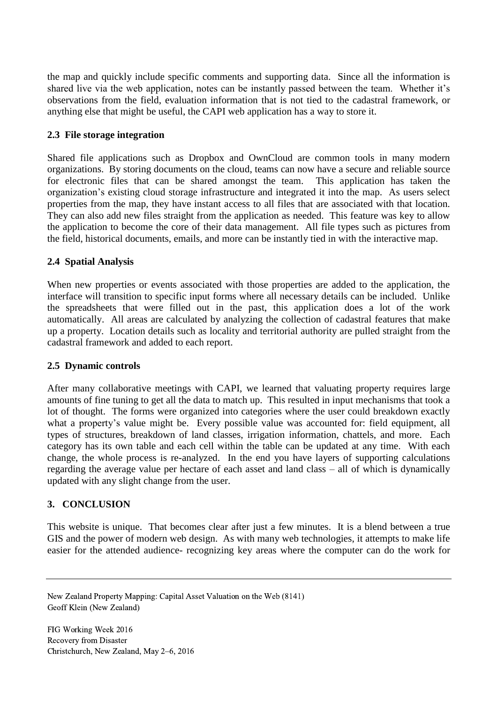the map and quickly include specific comments and supporting data. Since all the information is shared live via the web application, notes can be instantly passed between the team. Whether it's observations from the field, evaluation information that is not tied to the cadastral framework, or anything else that might be useful, the CAPI web application has a way to store it.

## **2.3 File storage integration**

Shared file applications such as Dropbox and OwnCloud are common tools in many modern organizations. By storing documents on the cloud, teams can now have a secure and reliable source for electronic files that can be shared amongst the team. This application has taken the organization's existing cloud storage infrastructure and integrated it into the map. As users select properties from the map, they have instant access to all files that are associated with that location. They can also add new files straight from the application as needed. This feature was key to allow the application to become the core of their data management. All file types such as pictures from the field, historical documents, emails, and more can be instantly tied in with the interactive map.

### **2.4 Spatial Analysis**

When new properties or events associated with those properties are added to the application, the interface will transition to specific input forms where all necessary details can be included. Unlike the spreadsheets that were filled out in the past, this application does a lot of the work automatically. All areas are calculated by analyzing the collection of cadastral features that make up a property. Location details such as locality and territorial authority are pulled straight from the cadastral framework and added to each report.

#### **2.5 Dynamic controls**

After many collaborative meetings with CAPI, we learned that valuating property requires large amounts of fine tuning to get all the data to match up. This resulted in input mechanisms that took a lot of thought. The forms were organized into categories where the user could breakdown exactly what a property's value might be. Every possible value was accounted for: field equipment, all types of structures, breakdown of land classes, irrigation information, chattels, and more. Each category has its own table and each cell within the table can be updated at any time. With each change, the whole process is re-analyzed. In the end you have layers of supporting calculations regarding the average value per hectare of each asset and land class – all of which is dynamically updated with any slight change from the user.

## **3. CONCLUSION**

This website is unique. That becomes clear after just a few minutes. It is a blend between a true GIS and the power of modern web design. As with many web technologies, it attempts to make life easier for the attended audience- recognizing key areas where the computer can do the work for

New Zealand Property Mapping: Capital Asset Valuation on the Web (8141) Geoff Klein (New Zealand)